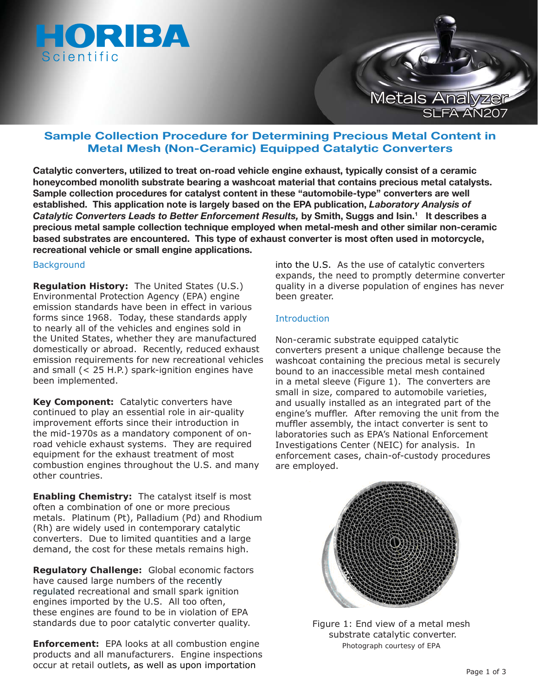



# **Sample Collection Procedure for Determining Precious Metal Content in Metal Mesh (Non-Ceramic) Equipped Catalytic Converters**

**Catalytic converters, utilized to treat on-road vehicle engine exhaust, typically consist of a ceramic honeycombed monolith substrate bearing a washcoat material that contains precious metal catalysts. Sample collection procedures for catalyst content in these "automobile-type" converters are well established. This application note is largely based on the EPA publication,** *Laboratory Analysis of Catalytic Converters Leads to Better Enforcement Results,* **by Smith, Suggs and Isin.1 It describes a precious metal sample collection technique employed when metal-mesh and other similar non-ceramic based substrates are encountered. This type of exhaust converter is most often used in motorcycle, recreational vehicle or small engine applications.** 

#### **Background**

**Regulation History:** The United States (U.S.) Environmental Protection Agency (EPA) engine emission standards have been in effect in various forms since 1968. Today, these standards apply to nearly all of the vehicles and engines sold in the United States, whether they are manufactured domestically or abroad. Recently, reduced exhaust emission requirements for new recreational vehicles and small (< 25 H.P.) spark-ignition engines have been implemented.

**Key Component:** Catalytic converters have continued to play an essential role in air-quality improvement efforts since their introduction in the mid-1970s as a mandatory component of onroad vehicle exhaust systems. They are required equipment for the exhaust treatment of most combustion engines throughout the U.S. and many other countries.

**Enabling Chemistry:** The catalyst itself is most often a combination of one or more precious metals. Platinum (Pt), Palladium (Pd) and Rhodium (Rh) are widely used in contemporary catalytic converters. Due to limited quantities and a large demand, the cost for these metals remains high.

**Regulatory Challenge:** Global economic factors have caused large numbers of the recently regulated recreational and small spark ignition engines imported by the U.S. All too often, these engines are found to be in violation of EPA standards due to poor catalytic converter quality.

**Enforcement:** EPA looks at all combustion engine products and all manufacturers. Engine inspections occur at retail outlets, as well as upon importation

into the U.S. As the use of catalytic converters expands, the need to promptly determine converter quality in a diverse population of engines has never been greater.

## **Introduction**

Non-ceramic substrate equipped catalytic converters present a unique challenge because the washcoat containing the precious metal is securely bound to an inaccessible metal mesh contained in a metal sleeve (Figure 1). The converters are small in size, compared to automobile varieties, and usually installed as an integrated part of the engine's muffler. After removing the unit from the muffler assembly, the intact converter is sent to laboratories such as EPA's National Enforcement Investigations Center (NEIC) for analysis. In enforcement cases, chain-of-custody procedures are employed.



Figure 1: End view of a metal mesh substrate catalytic converter. *Photograph courtesy of EPA*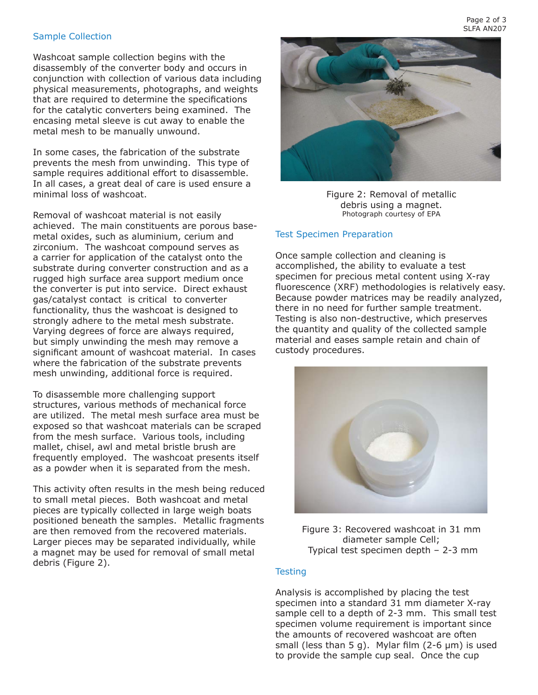### Sample Collection

Washcoat sample collection begins with the disassembly of the converter body and occurs in conjunction with collection of various data including physical measurements, photographs, and weights that are required to determine the specifications for the catalytic converters being examined. The encasing metal sleeve is cut away to enable the metal mesh to be manually unwound.

In some cases, the fabrication of the substrate prevents the mesh from unwinding. This type of sample requires additional effort to disassemble. In all cases, a great deal of care is used ensure a minimal loss of washcoat.

Removal of washcoat material is not easily achieved. The main constituents are porous basemetal oxides, such as aluminium, cerium and zirconium. The washcoat compound serves as a carrier for application of the catalyst onto the substrate during converter construction and as a rugged high surface area support medium once the converter is put into service. Direct exhaust gas/catalyst contact is critical to converter functionality, thus the washcoat is designed to strongly adhere to the metal mesh substrate. Varying degrees of force are always required, but simply unwinding the mesh may remove a significant amount of washcoat material. In cases where the fabrication of the substrate prevents mesh unwinding, additional force is required.

To disassemble more challenging support structures, various methods of mechanical force are utilized. The metal mesh surface area must be exposed so that washcoat materials can be scraped from the mesh surface. Various tools, including mallet, chisel, awl and metal bristle brush are frequently employed. The washcoat presents itself as a powder when it is separated from the mesh.

This activity often results in the mesh being reduced to small metal pieces. Both washcoat and metal pieces are typically collected in large weigh boats positioned beneath the samples. Metallic fragments are then removed from the recovered materials. Larger pieces may be separated individually, while a magnet may be used for removal of small metal debris (Figure 2).



Figure 2: Removal of metallic debris using a magnet. *Photograph courtesy of EPA*

#### Test Specimen Preparation

Once sample collection and cleaning is accomplished, the ability to evaluate a test specimen for precious metal content using X-ray fluorescence (XRF) methodologies is relatively easy. Because powder matrices may be readily analyzed, there in no need for further sample treatment. Testing is also non-destructive, which preserves the quantity and quality of the collected sample material and eases sample retain and chain of custody procedures.



Figure 3: Recovered washcoat in 31 mm diameter sample Cell; Typical test specimen depth – 2-3 mm

#### **Testing**

Analysis is accomplished by placing the test specimen into a standard 31 mm diameter X-ray sample cell to a depth of 2-3 mm. This small test specimen volume requirement is important since the amounts of recovered washcoat are often small (less than 5 g). Mylar film  $(2-6 \mu m)$  is used to provide the sample cup seal. Once the cup